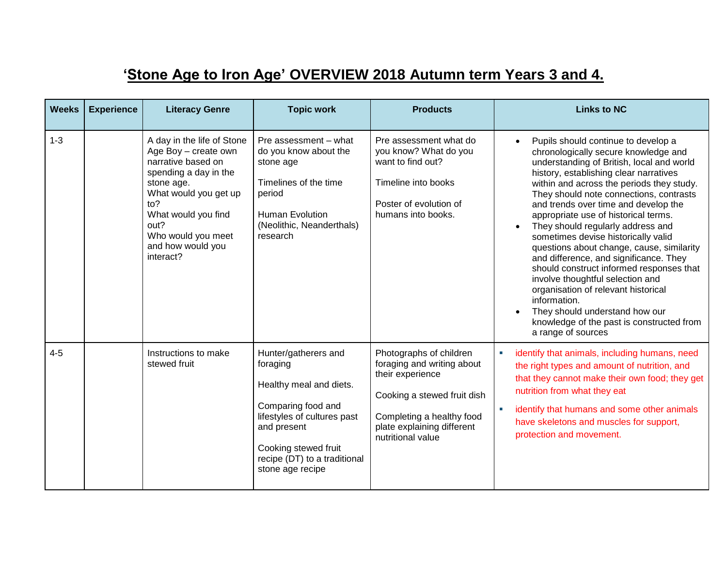## **'Stone Age to Iron Age' OVERVIEW 2018 Autumn term Years 3 and 4.**

| <b>Weeks</b> | <b>Experience</b> | <b>Literacy Genre</b>                                                                                                                                                                                                                  | <b>Topic work</b>                                                                                                                                                                                           | <b>Products</b>                                                                                                                                                                          | <b>Links to NC</b>                                                                                                                                                                                                                                                                                                                                                                                                                                                                                                                                                                                                                                                                                                                                        |
|--------------|-------------------|----------------------------------------------------------------------------------------------------------------------------------------------------------------------------------------------------------------------------------------|-------------------------------------------------------------------------------------------------------------------------------------------------------------------------------------------------------------|------------------------------------------------------------------------------------------------------------------------------------------------------------------------------------------|-----------------------------------------------------------------------------------------------------------------------------------------------------------------------------------------------------------------------------------------------------------------------------------------------------------------------------------------------------------------------------------------------------------------------------------------------------------------------------------------------------------------------------------------------------------------------------------------------------------------------------------------------------------------------------------------------------------------------------------------------------------|
| $1 - 3$      |                   | A day in the life of Stone<br>Age Boy - create own<br>narrative based on<br>spending a day in the<br>stone age.<br>What would you get up<br>to?<br>What would you find<br>out?<br>Who would you meet<br>and how would you<br>interact? | Pre assessment - what<br>do you know about the<br>stone age<br>Timelines of the time<br>period<br>Human Evolution<br>(Neolithic, Neanderthals)<br>research                                                  | Pre assessment what do<br>you know? What do you<br>want to find out?<br>Timeline into books<br>Poster of evolution of<br>humans into books.                                              | Pupils should continue to develop a<br>chronologically secure knowledge and<br>understanding of British, local and world<br>history, establishing clear narratives<br>within and across the periods they study.<br>They should note connections, contrasts<br>and trends over time and develop the<br>appropriate use of historical terms.<br>They should regularly address and<br>sometimes devise historically valid<br>questions about change, cause, similarity<br>and difference, and significance. They<br>should construct informed responses that<br>involve thoughtful selection and<br>organisation of relevant historical<br>information.<br>They should understand how our<br>knowledge of the past is constructed from<br>a range of sources |
| $4 - 5$      |                   | Instructions to make<br>stewed fruit                                                                                                                                                                                                   | Hunter/gatherers and<br>foraging<br>Healthy meal and diets.<br>Comparing food and<br>lifestyles of cultures past<br>and present<br>Cooking stewed fruit<br>recipe (DT) to a traditional<br>stone age recipe | Photographs of children<br>foraging and writing about<br>their experience<br>Cooking a stewed fruit dish<br>Completing a healthy food<br>plate explaining different<br>nutritional value | $\blacksquare$<br>identify that animals, including humans, need<br>the right types and amount of nutrition, and<br>that they cannot make their own food; they get<br>nutrition from what they eat<br>identify that humans and some other animals<br>have skeletons and muscles for support,<br>protection and movement.                                                                                                                                                                                                                                                                                                                                                                                                                                   |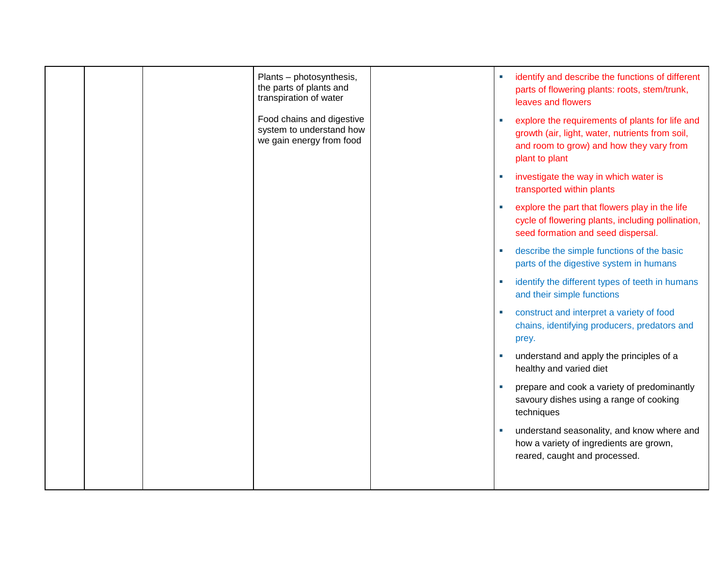|  | Plants - photosynthesis,<br>the parts of plants and<br>transpiration of water     |  | identify and describe the functions of different<br>parts of flowering plants: roots, stem/trunk,<br>leaves and flowers                                          |
|--|-----------------------------------------------------------------------------------|--|------------------------------------------------------------------------------------------------------------------------------------------------------------------|
|  | Food chains and digestive<br>system to understand how<br>we gain energy from food |  | explore the requirements of plants for life and<br>growth (air, light, water, nutrients from soil,<br>and room to grow) and how they vary from<br>plant to plant |
|  |                                                                                   |  | investigate the way in which water is<br>transported within plants                                                                                               |
|  |                                                                                   |  | explore the part that flowers play in the life<br>cycle of flowering plants, including pollination,<br>seed formation and seed dispersal.                        |
|  |                                                                                   |  | describe the simple functions of the basic<br>parts of the digestive system in humans                                                                            |
|  |                                                                                   |  | identify the different types of teeth in humans<br>and their simple functions                                                                                    |
|  |                                                                                   |  | construct and interpret a variety of food<br>chains, identifying producers, predators and<br>prey.                                                               |
|  |                                                                                   |  | understand and apply the principles of a<br>healthy and varied diet                                                                                              |
|  |                                                                                   |  | prepare and cook a variety of predominantly<br>savoury dishes using a range of cooking<br>techniques                                                             |
|  |                                                                                   |  | understand seasonality, and know where and<br>how a variety of ingredients are grown,<br>reared, caught and processed.                                           |
|  |                                                                                   |  |                                                                                                                                                                  |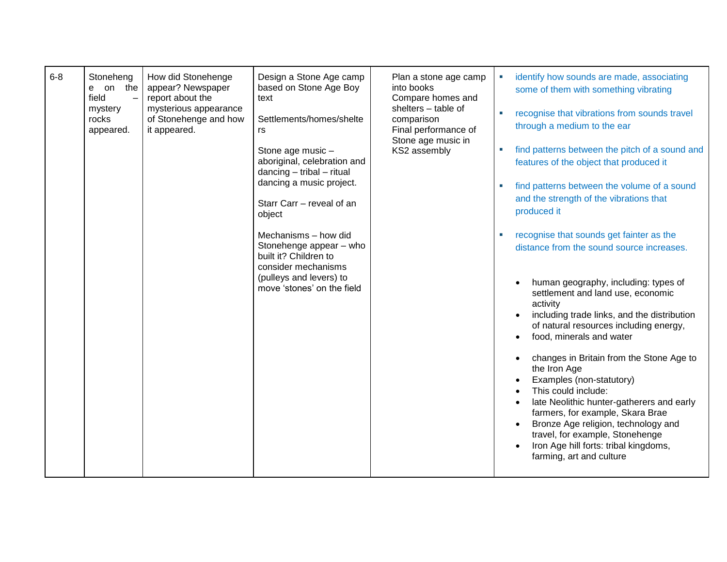| $6 - 8$ | Stoneheng<br>e on the<br>field<br>$\equiv$<br>mystery<br>rocks<br>appeared. | How did Stonehenge<br>appear? Newspaper<br>report about the<br>mysterious appearance<br>of Stonehenge and how<br>it appeared. | Design a Stone Age camp<br>based on Stone Age Boy<br>text<br>Settlements/homes/shelte<br>rs<br>Stone age music -<br>aboriginal, celebration and<br>$dancing - trial - ritual$<br>dancing a music project.<br>Starr Carr - reveal of an<br>object<br>Mechanisms - how did<br>Stonehenge appear - who<br>built it? Children to<br>consider mechanisms<br>(pulleys and levers) to<br>move 'stones' on the field | Plan a stone age camp<br>into books<br>Compare homes and<br>shelters - table of<br>comparison<br>Final performance of<br>Stone age music in<br>KS2 assembly | identify how sounds are made, associating<br>some of them with something vibrating<br>recognise that vibrations from sounds travel<br>through a medium to the ear<br>find patterns between the pitch of a sound and<br>features of the object that produced it<br>find patterns between the volume of a sound<br>and the strength of the vibrations that<br>produced it<br>recognise that sounds get fainter as the<br>distance from the sound source increases.<br>human geography, including: types of<br>settlement and land use, economic<br>activity<br>including trade links, and the distribution<br>of natural resources including energy,<br>food, minerals and water<br>changes in Britain from the Stone Age to<br>the Iron Age<br>Examples (non-statutory)<br>This could include: |
|---------|-----------------------------------------------------------------------------|-------------------------------------------------------------------------------------------------------------------------------|--------------------------------------------------------------------------------------------------------------------------------------------------------------------------------------------------------------------------------------------------------------------------------------------------------------------------------------------------------------------------------------------------------------|-------------------------------------------------------------------------------------------------------------------------------------------------------------|-----------------------------------------------------------------------------------------------------------------------------------------------------------------------------------------------------------------------------------------------------------------------------------------------------------------------------------------------------------------------------------------------------------------------------------------------------------------------------------------------------------------------------------------------------------------------------------------------------------------------------------------------------------------------------------------------------------------------------------------------------------------------------------------------|
|         |                                                                             |                                                                                                                               |                                                                                                                                                                                                                                                                                                                                                                                                              |                                                                                                                                                             | late Neolithic hunter-gatherers and early<br>farmers, for example, Skara Brae<br>Bronze Age religion, technology and<br>travel, for example, Stonehenge<br>Iron Age hill forts: tribal kingdoms,<br>farming, art and culture                                                                                                                                                                                                                                                                                                                                                                                                                                                                                                                                                                  |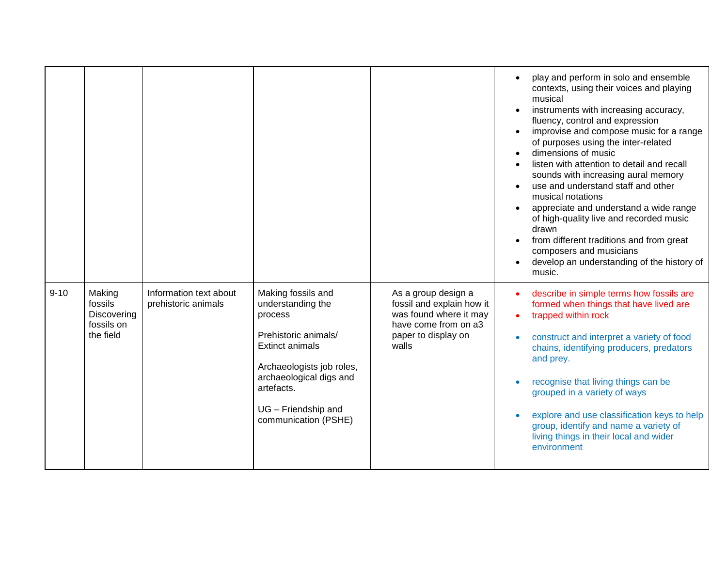|          |                                                             |                                               |                                                                                                                                                                                                                           |                                                                                                                                    | play and perform in solo and ensemble<br>contexts, using their voices and playing<br>musical<br>instruments with increasing accuracy,<br>fluency, control and expression<br>improvise and compose music for a range<br>of purposes using the inter-related<br>dimensions of music<br>listen with attention to detail and recall<br>sounds with increasing aural memory<br>use and understand staff and other<br>musical notations<br>appreciate and understand a wide range<br>of high-quality live and recorded music<br>drawn<br>from different traditions and from great<br>composers and musicians<br>develop an understanding of the history of<br>music. |
|----------|-------------------------------------------------------------|-----------------------------------------------|---------------------------------------------------------------------------------------------------------------------------------------------------------------------------------------------------------------------------|------------------------------------------------------------------------------------------------------------------------------------|----------------------------------------------------------------------------------------------------------------------------------------------------------------------------------------------------------------------------------------------------------------------------------------------------------------------------------------------------------------------------------------------------------------------------------------------------------------------------------------------------------------------------------------------------------------------------------------------------------------------------------------------------------------|
| $9 - 10$ | Making<br>fossils<br>Discovering<br>fossils on<br>the field | Information text about<br>prehistoric animals | Making fossils and<br>understanding the<br>process<br>Prehistoric animals/<br><b>Extinct animals</b><br>Archaeologists job roles,<br>archaeological digs and<br>artefacts.<br>UG - Friendship and<br>communication (PSHE) | As a group design a<br>fossil and explain how it<br>was found where it may<br>have come from on a3<br>paper to display on<br>walls | describe in simple terms how fossils are<br>formed when things that have lived are<br>trapped within rock<br>$\bullet$<br>construct and interpret a variety of food<br>chains, identifying producers, predators<br>and prey.<br>recognise that living things can be<br>grouped in a variety of ways<br>explore and use classification keys to help<br>group, identify and name a variety of<br>living things in their local and wider<br>environment                                                                                                                                                                                                           |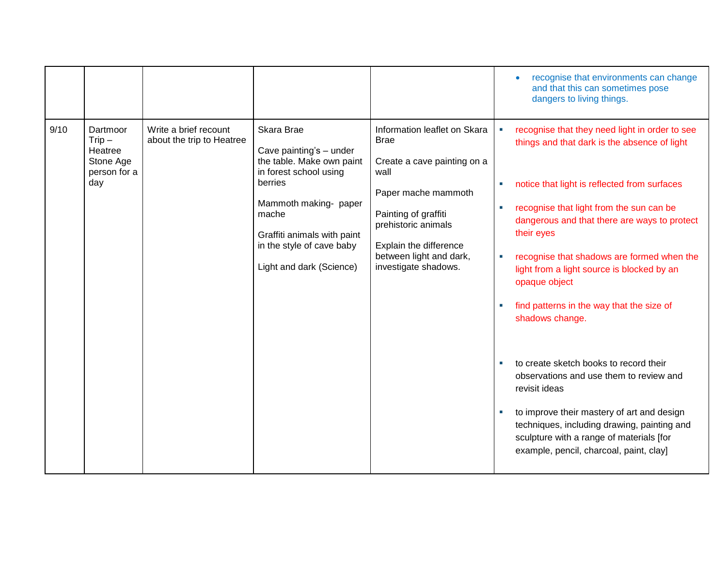|      |                                                                     |                                                    |                                                                                                                                                                                                                                   |                                                                                                                                                                                                                                       | recognise that environments can change<br>and that this can sometimes pose<br>dangers to living things.                                                                                                                                                                                                                                                                                                                                                                                                                                                                                                                                                                                                                                                                        |
|------|---------------------------------------------------------------------|----------------------------------------------------|-----------------------------------------------------------------------------------------------------------------------------------------------------------------------------------------------------------------------------------|---------------------------------------------------------------------------------------------------------------------------------------------------------------------------------------------------------------------------------------|--------------------------------------------------------------------------------------------------------------------------------------------------------------------------------------------------------------------------------------------------------------------------------------------------------------------------------------------------------------------------------------------------------------------------------------------------------------------------------------------------------------------------------------------------------------------------------------------------------------------------------------------------------------------------------------------------------------------------------------------------------------------------------|
| 9/10 | Dartmoor<br>$Trip -$<br>Heatree<br>Stone Age<br>person for a<br>day | Write a brief recount<br>about the trip to Heatree | Skara Brae<br>Cave painting's - under<br>the table. Make own paint<br>in forest school using<br>berries<br>Mammoth making- paper<br>mache<br>Graffiti animals with paint<br>in the style of cave baby<br>Light and dark (Science) | Information leaflet on Skara<br><b>Brae</b><br>Create a cave painting on a<br>wall<br>Paper mache mammoth<br>Painting of graffiti<br>prehistoric animals<br>Explain the difference<br>between light and dark,<br>investigate shadows. | recognise that they need light in order to see<br>things and that dark is the absence of light<br>notice that light is reflected from surfaces<br>u,<br>recognise that light from the sun can be<br>a.<br>dangerous and that there are ways to protect<br>their eyes<br>recognise that shadows are formed when the<br>×.<br>light from a light source is blocked by an<br>opaque object<br>find patterns in the way that the size of<br>a.<br>shadows change.<br>to create sketch books to record their<br>ш<br>observations and use them to review and<br>revisit ideas<br>to improve their mastery of art and design<br>$\blacksquare$<br>techniques, including drawing, painting and<br>sculpture with a range of materials [for<br>example, pencil, charcoal, paint, clay] |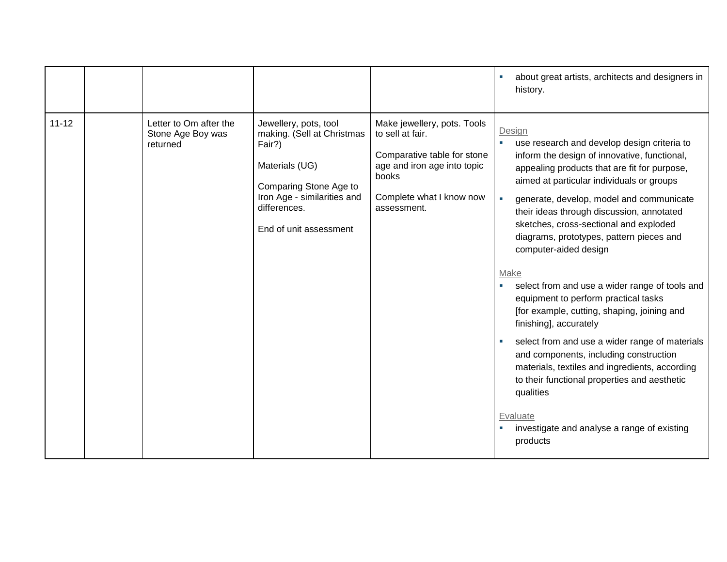|           |                                                         |                                                                                                                                                                                    |                                                                                                                                                                   | about great artists, architects and designers in<br>history.                                                                                                                                                                                                                                                                                                                                                                                                                                                                                                                                                                                                                                                                                                                                                                                                                                                                            |
|-----------|---------------------------------------------------------|------------------------------------------------------------------------------------------------------------------------------------------------------------------------------------|-------------------------------------------------------------------------------------------------------------------------------------------------------------------|-----------------------------------------------------------------------------------------------------------------------------------------------------------------------------------------------------------------------------------------------------------------------------------------------------------------------------------------------------------------------------------------------------------------------------------------------------------------------------------------------------------------------------------------------------------------------------------------------------------------------------------------------------------------------------------------------------------------------------------------------------------------------------------------------------------------------------------------------------------------------------------------------------------------------------------------|
| $11 - 12$ | Letter to Om after the<br>Stone Age Boy was<br>returned | Jewellery, pots, tool<br>making. (Sell at Christmas<br>Fair?)<br>Materials (UG)<br>Comparing Stone Age to<br>Iron Age - similarities and<br>differences.<br>End of unit assessment | Make jewellery, pots. Tools<br>to sell at fair.<br>Comparative table for stone<br>age and iron age into topic<br>books<br>Complete what I know now<br>assessment. | Design<br>use research and develop design criteria to<br>$\blacksquare$<br>inform the design of innovative, functional,<br>appealing products that are fit for purpose,<br>aimed at particular individuals or groups<br>generate, develop, model and communicate<br>$\mathcal{L}_{\mathcal{A}}$<br>their ideas through discussion, annotated<br>sketches, cross-sectional and exploded<br>diagrams, prototypes, pattern pieces and<br>computer-aided design<br>Make<br>select from and use a wider range of tools and<br>ш<br>equipment to perform practical tasks<br>[for example, cutting, shaping, joining and<br>finishing], accurately<br>select from and use a wider range of materials<br>and components, including construction<br>materials, textiles and ingredients, according<br>to their functional properties and aesthetic<br>qualities<br>Evaluate<br>investigate and analyse a range of existing<br>$\sim$<br>products |